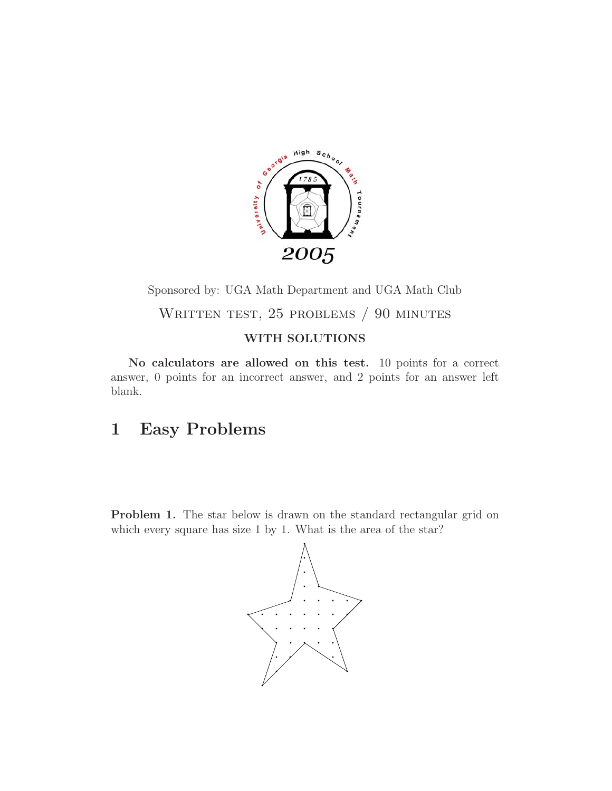

## Sponsored by: UGA Math Department and UGA Math Club WRITTEN TEST, 25 PROBLEMS / 90 MINUTES **WITH SOLUTIONS**

**No calculators are allowed on this test.** 10 points for a correct answer, 0 points for an incorrect answer, and 2 points for an answer left blank.

## **1 Easy Problems**

**Problem 1.** The star below is drawn on the standard rectangular grid on which every square has size 1 by 1. What is the area of the star?

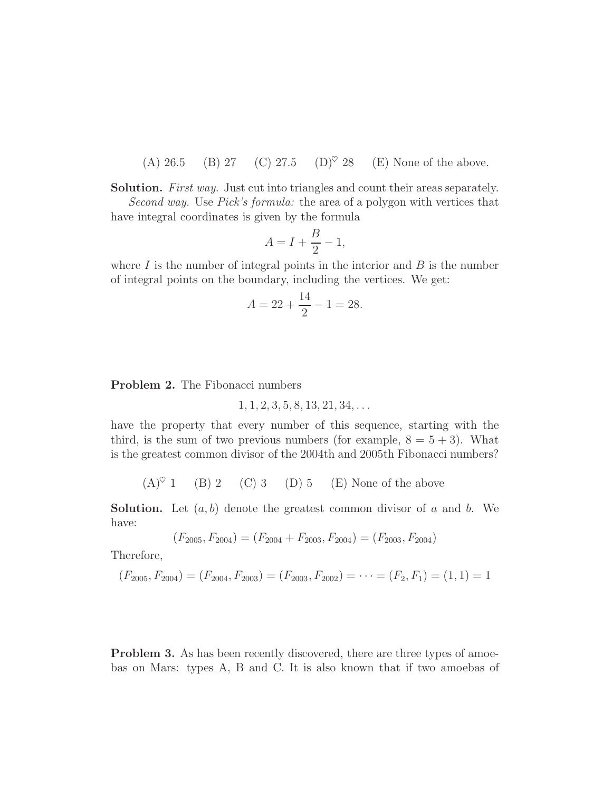(A) 26.5 (B) 27 (C) 27.5 (D)<sup> $\heartsuit$ </sup> 28 (E) None of the above.

**Solution.** *First way.* Just cut into triangles and count their areas separately.

*Second way.* Use *Pick's formula:* the area of a polygon with vertices that have integral coordinates is given by the formula

$$
A = I + \frac{B}{2} - 1,
$$

where  $I$  is the number of integral points in the interior and  $B$  is the number of integral points on the boundary, including the vertices. We get:

$$
A = 22 + \frac{14}{2} - 1 = 28.
$$

**Problem 2.** The Fibonacci numbers

$$
1, 1, 2, 3, 5, 8, 13, 21, 34, \ldots
$$

have the property that every number of this sequence, starting with the third, is the sum of two previous numbers (for example,  $8 = 5 + 3$ ). What is the greatest common divisor of the 2004th and 2005th Fibonacci numbers?

 $(A)^\heartsuit$  1 (B) 2 (C) 3 (D) 5 (E) None of the above

**Solution.** Let  $(a, b)$  denote the greatest common divisor of a and b. We have:

$$
(F_{2005}, F_{2004}) = (F_{2004} + F_{2003}, F_{2004}) = (F_{2003}, F_{2004})
$$

Therefore,

$$
(F_{2005}, F_{2004}) = (F_{2004}, F_{2003}) = (F_{2003}, F_{2002}) = \dots = (F_2, F_1) = (1, 1) = 1
$$

**Problem 3.** As has been recently discovered, there are three types of amoebas on Mars: types A, B and C. It is also known that if two amoebas of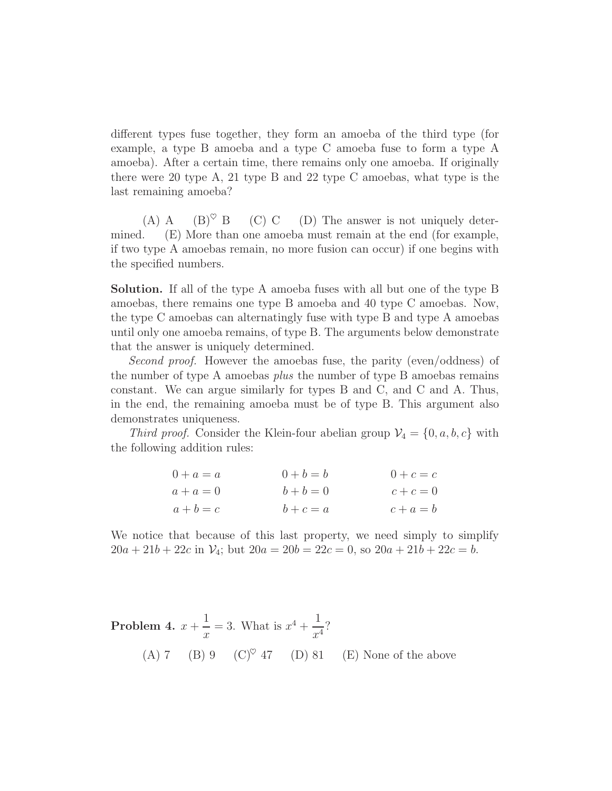different types fuse together, they form an amoeba of the third type (for example, a type B amoeba and a type C amoeba fuse to form a type A amoeba). After a certain time, there remains only one amoeba. If originally there were 20 type A, 21 type B and 22 type C amoebas, what type is the last remaining amoeba?

(A) A (B)<sup> $\heartsuit$ </sup> B (C) C (D) The answer is not uniquely determined. (E) More than one amoeba must remain at the end (for example, if two type A amoebas remain, no more fusion can occur) if one begins with the specified numbers.

**Solution.** If all of the type A amoeba fuses with all but one of the type B amoebas, there remains one type B amoeba and 40 type C amoebas. Now, the type C amoebas can alternatingly fuse with type B and type A amoebas until only one amoeba remains, of type B. The arguments below demonstrate that the answer is uniquely determined.

*Second proof.* However the amoebas fuse, the parity (even/oddness) of the number of type A amoebas *plus* the number of type B amoebas remains constant. We can argue similarly for types B and C, and C and A. Thus, in the end, the remaining amoeba must be of type B. This argument also demonstrates uniqueness.

*Third proof.* Consider the Klein-four abelian group  $V_4 = \{0, a, b, c\}$  with the following addition rules:

| $0 + a = a$ | $0 + b = b$ | $0 + c = c$ |
|-------------|-------------|-------------|
| $a + a = 0$ | $b + b = 0$ | $c+c=0$     |
| $a+b=c$     | $b+c=a$     | $c + a = b$ |

We notice that because of this last property, we need simply to simplify  $20a + 21b + 22c$  in  $\mathcal{V}_4$ ; but  $20a = 20b = 22c = 0$ , so  $20a + 21b + 22c = b$ .

 $$  $\overline{x}$  $= 3$ . What is  $x^4 + \frac{1}{x^2}$  $\frac{1}{x^4}$ ? (A) 7 (B) 9 (C) $\degree$  47 (D) 81 (E) None of the above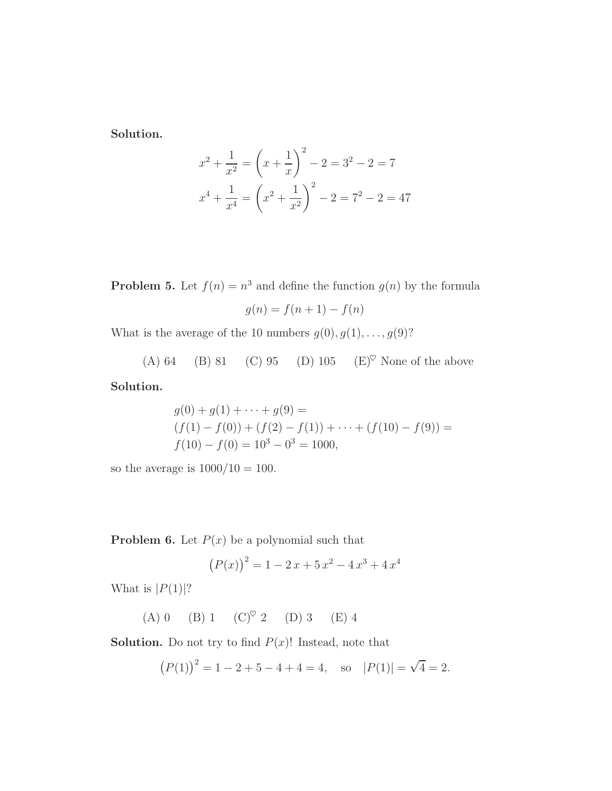**Solution.**

$$
x^{2} + \frac{1}{x^{2}} = \left(x + \frac{1}{x}\right)^{2} - 2 = 3^{2} - 2 = 7
$$

$$
x^{4} + \frac{1}{x^{4}} = \left(x^{2} + \frac{1}{x^{2}}\right)^{2} - 2 = 7^{2} - 2 = 47
$$

**Problem 5.** Let  $f(n) = n^3$  and define the function  $g(n)$  by the formula  $g(n) = f(n + 1) - f(n)$ 

What is the average of the 10 numbers  $g(0), g(1), \ldots, g(9)$ ?

(A) 64 (B) 81 (C) 95 (D) 105 (E)<sup> $\heartsuit$ </sup> None of the above

**Solution.**

$$
g(0) + g(1) + \cdots + g(9) =
$$
  
(f(1) - f(0)) + (f(2) - f(1)) + \cdots + (f(10) - f(9)) =  
f(10) - f(0) = 10<sup>3</sup> - 0<sup>3</sup> = 1000,

so the average is  $1000/10 = 100$ .

**Problem 6.** Let  $P(x)$  be a polynomial such that

$$
(P(x))^{2} = 1 - 2x + 5x^{2} - 4x^{3} + 4x^{4}
$$

What is  $|P(1)|$ ?

(A) 0 (B) 1 (C)♥ 2 (D) 3 (E) 4

**Solution.** Do not try to find  $P(x)$ ! Instead, note that

$$
(P(1))^{2} = 1 - 2 + 5 - 4 + 4 = 4
$$
, so  $|P(1)| = \sqrt{4} = 2$ .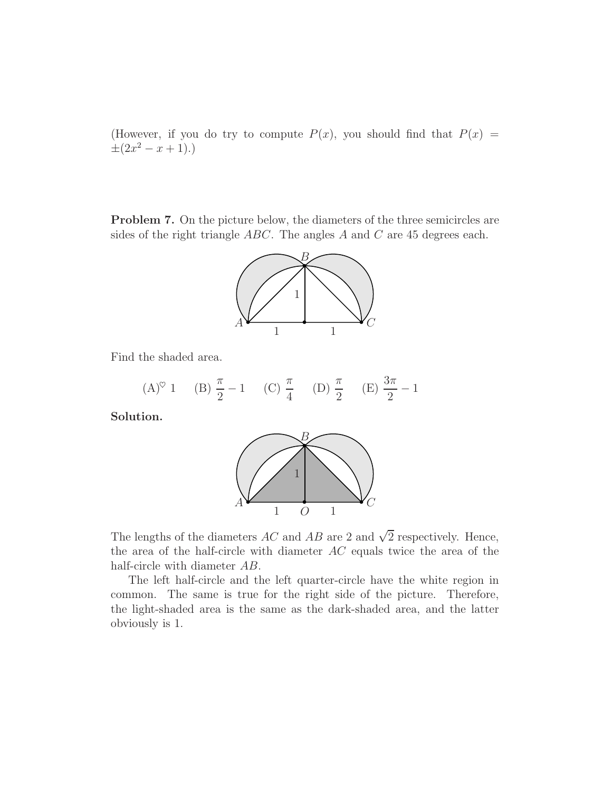(However, if you do try to compute  $P(x)$ , you should find that  $P(x) =$  $\pm(2x^2-x+1).$ 

**Problem 7.** On the picture below, the diameters of the three semicircles are sides of the right triangle  $ABC$ . The angles A and C are 45 degrees each.



Find the shaded area.

$$
(A)^{\heartsuit} \ 1 \qquad (B) \ \frac{\pi}{2} - 1 \qquad (C) \ \frac{\pi}{4} \qquad (D) \ \frac{\pi}{2} \qquad (E) \ \frac{3\pi}{2} - 1
$$

**Solution.**



The lengths of the diameters  $AC$  and  $AB$  are 2 and  $\sqrt{2}$  respectively. Hence, the area of the half-circle with diameter AC equals twice the area of the half-circle with diameter AB.

The left half-circle and the left quarter-circle have the white region in common. The same is true for the right side of the picture. Therefore, the light-shaded area is the same as the dark-shaded area, and the latter obviously is 1.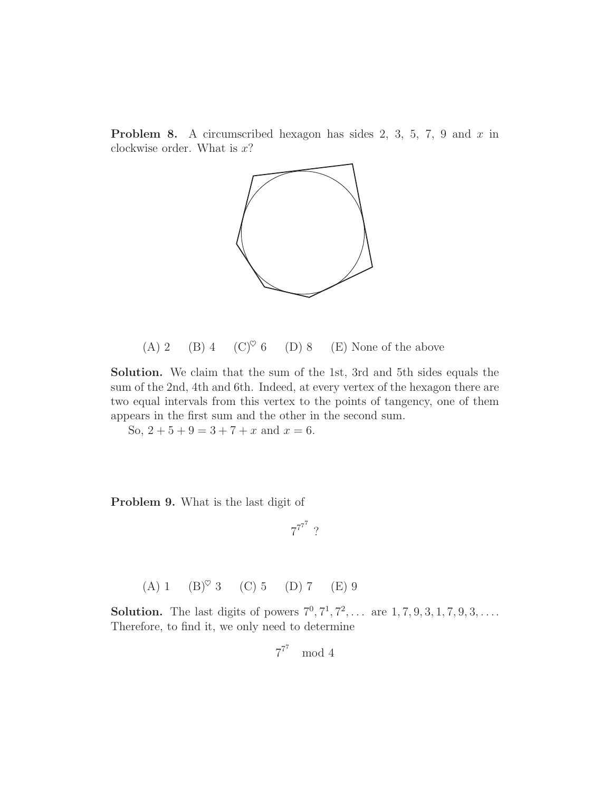**Problem 8.** A circumscribed hexagon has sides  $2, 3, 5, 7, 9$  and  $x$  in clockwise order. What is  $x$ ?



(A) 2 (B) 4 (C) $^\heartsuit$  6 (D) 8 (E) None of the above

**Solution.** We claim that the sum of the 1st, 3rd and 5th sides equals the sum of the 2nd, 4th and 6th. Indeed, at every vertex of the hexagon there are two equal intervals from this vertex to the points of tangency, one of them appears in the first sum and the other in the second sum.

So,  $2 + 5 + 9 = 3 + 7 + x$  and  $x = 6$ .

**Problem 9.** What is the last digit of

 $7^{7^7}$  ?

(A) 1  $(B)^\heartsuit$  3 (C) 5 (D) 7 (E) 9

**Solution.** The last digits of powers  $7^0, 7^1, 7^2, \ldots$  are  $1, 7, 9, 3, 1, 7, 9, 3, \ldots$ . Therefore, to find it, we only need to determine

$$
7^{7^7} \mod 4
$$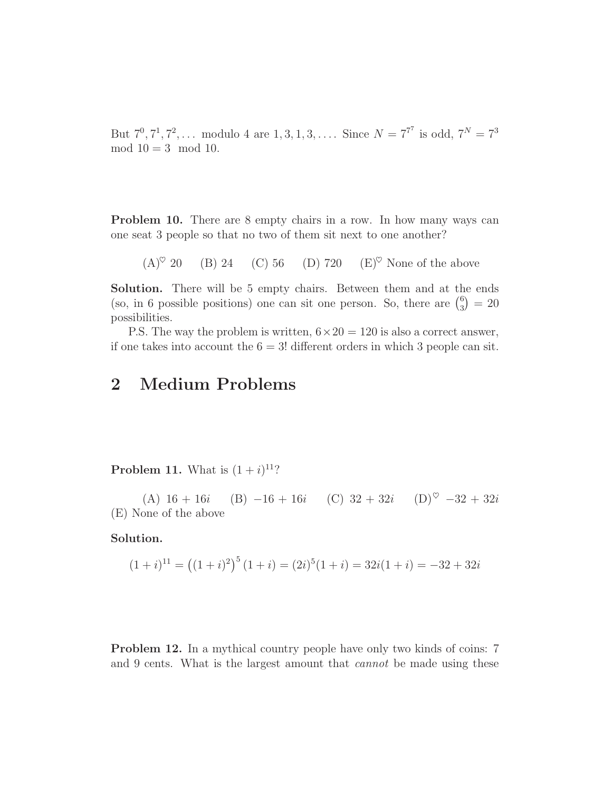But  $7^0, 7^1, 7^2, \ldots$  modulo 4 are  $1, 3, 1, 3, \ldots$ . Since  $N = 7^{7^7}$  is odd,  $7^N = 7^3$  $mod 10 = 3 mod 10.$ 

**Problem 10.** There are 8 empty chairs in a row. In how many ways can one seat 3 people so that no two of them sit next to one another?

 $(A)^\heartsuit$  20 (B) 24 (C) 56 (D) 720 (E)<sup> $\heartsuit$ </sup> None of the above

**Solution.** There will be 5 empty chairs. Between them and at the ends (so, in 6 possible positions) one can sit one person. So, there are  $\binom{6}{3} = 20$ possibilities.

P.S. The way the problem is written,  $6 \times 20 = 120$  is also a correct answer, if one takes into account the  $6 = 3!$  different orders in which 3 people can sit.

## **2 Medium Problems**

**Problem 11.** What is  $(1 + i)^{11}$ ?

(A)  $16 + 16i$  (B)  $-16 + 16i$  (C)  $32 + 32i$  (D)<sup> $\heartsuit$ </sup>  $-32 + 32i$ (E) None of the above

**Solution.**

$$
(1+i)^{11} = ((1+i)^2)^5 (1+i) = (2i)^5 (1+i) = 32i(1+i) = -32+32i
$$

**Problem 12.** In a mythical country people have only two kinds of coins: 7 and 9 cents. What is the largest amount that *cannot* be made using these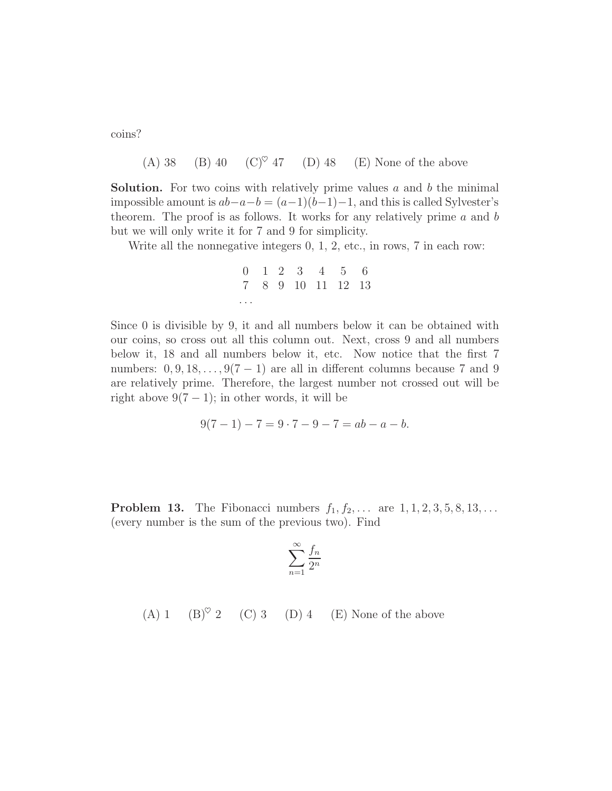coins?

(A) 38 (B) 40 (C)♥ 47 (D) 48 (E) None of the above

**Solution.** For two coins with relatively prime values  $a$  and  $b$  the minimal impossible amount is  $ab-a-b = (a-1)(b-1)-1$ , and this is called Sylvester's theorem. The proof is as follows. It works for any relatively prime  $a$  and  $b$ but we will only write it for 7 and 9 for simplicity.

Write all the nonnegative integers 0, 1, 2, etc., in rows, 7 in each row:

$$
\begin{array}{cccccc}\n0 & 1 & 2 & 3 & 4 & 5 & 6 \\
7 & 8 & 9 & 10 & 11 & 12 & 13 \\
\vdots & \vdots & \vdots & \vdots & \vdots & \vdots & \vdots \\
\end{array}
$$

Since 0 is divisible by 9, it and all numbers below it can be obtained with our coins, so cross out all this column out. Next, cross 9 and all numbers below it, 18 and all numbers below it, etc. Now notice that the first 7 numbers:  $0, 9, 18, \ldots, 9(7-1)$  are all in different columns because 7 and 9 are relatively prime. Therefore, the largest number not crossed out will be right above  $9(7-1)$ ; in other words, it will be

$$
9(7-1) - 7 = 9 \cdot 7 - 9 - 7 = ab - a - b.
$$

**Problem 13.** The Fibonacci numbers  $f_1, f_2, \ldots$  are  $1, 1, 2, 3, 5, 8, 13, \ldots$ (every number is the sum of the previous two). Find

$$
\sum_{n=1}^{\infty} \frac{f_n}{2^n}
$$

(A) 1 (B) 
$$
^{\heartsuit} 2
$$
 (C) 3 (D) 4 (E) None of the above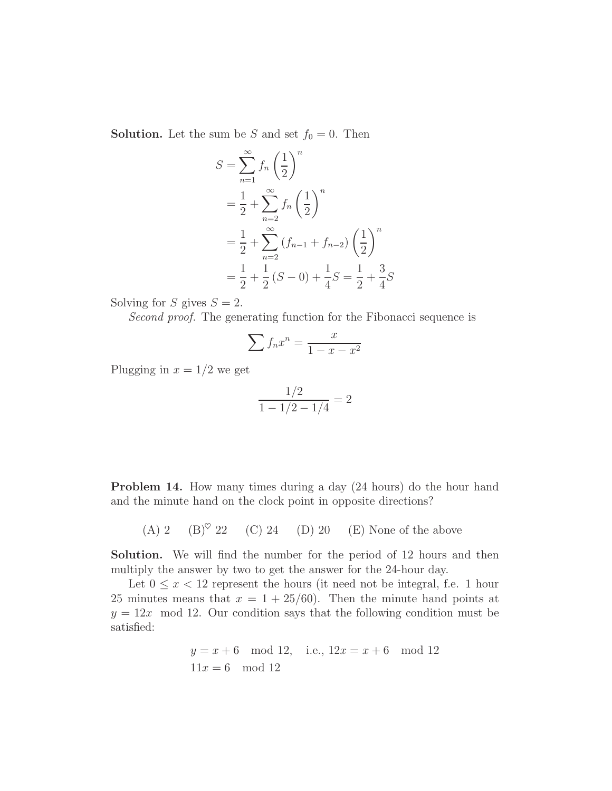**Solution.** Let the sum be S and set  $f_0 = 0$ . Then

$$
S = \sum_{n=1}^{\infty} f_n \left(\frac{1}{2}\right)^n
$$
  
=  $\frac{1}{2} + \sum_{n=2}^{\infty} f_n \left(\frac{1}{2}\right)^n$   
=  $\frac{1}{2} + \sum_{n=2}^{\infty} (f_{n-1} + f_{n-2}) \left(\frac{1}{2}\right)^n$   
=  $\frac{1}{2} + \frac{1}{2} (S - 0) + \frac{1}{4} S = \frac{1}{2} + \frac{3}{4} S$ 

Solving for S gives  $S = 2$ .

*Second proof.* The generating function for the Fibonacci sequence is

$$
\sum f_n x^n = \frac{x}{1 - x - x^2}
$$

Plugging in  $x = 1/2$  we get

$$
\frac{1/2}{1 - 1/2 - 1/4} = 2
$$

**Problem 14.** How many times during a day  $(24 \text{ hours})$  do the hour hand and the minute hand on the clock point in opposite directions?

(A) 2 (B)<sup> $\heartsuit$ </sup> 22 (C) 24 (D) 20 (E) None of the above

**Solution.** We will find the number for the period of 12 hours and then multiply the answer by two to get the answer for the 24-hour day.

Let  $0 \leq x < 12$  represent the hours (it need not be integral, f.e. 1 hour 25 minutes means that  $x = 1 + 25/60$ . Then the minute hand points at  $y = 12x \mod 12$ . Our condition says that the following condition must be satisfied:

$$
y = x + 6 \mod 12
$$
, i.e.,  $12x = x + 6 \mod 12$   
 $11x = 6 \mod 12$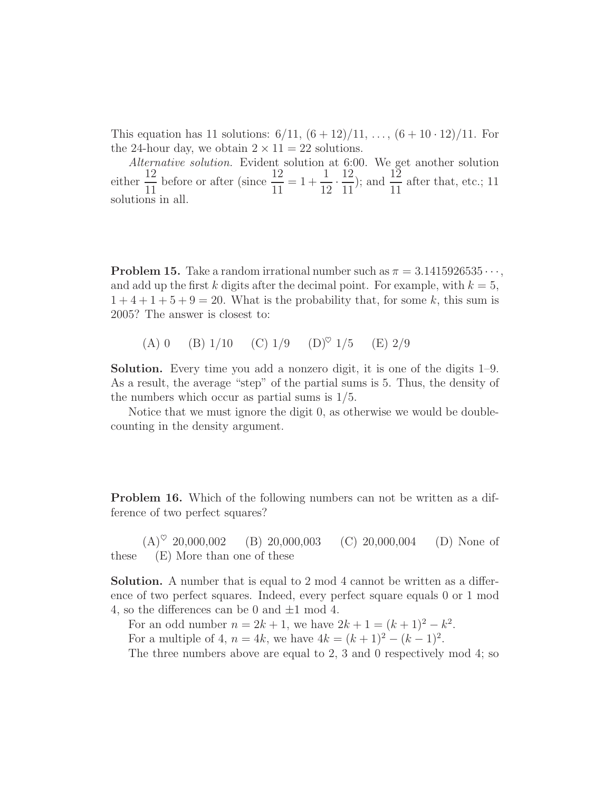This equation has 11 solutions:  $6/11$ ,  $(6 + 12)/11$ , ...,  $(6 + 10 \cdot 12)/11$ . For the 24-hour day, we obtain  $2 \times 11 = 22$  solutions.

*Alternative solution.* Evident solution at 6:00. We get another solution either  $\frac{12}{11}$  before or after (since  $\frac{12}{11} = 1 +$ 1  $\frac{1}{12}$ .  $\frac{12}{11}$ ; and  $\frac{12}{11}$  after that, etc.; 11 solutions in all.

**Problem 15.** Take a random irrational number such as  $\pi = 3.1415926535 \cdots$ , and add up the first k digits after the decimal point. For example, with  $k = 5$ ,  $1+4+1+5+9=20$ . What is the probability that, for some k, this sum is 2005? The answer is closest to:

(A) 0 (B)  $1/10$  (C)  $1/9$  (D)<sup> $\heartsuit$ </sup> 1/5 (E) 2/9

**Solution.** Every time you add a nonzero digit, it is one of the digits 1–9. As a result, the average "step" of the partial sums is 5. Thus, the density of the numbers which occur as partial sums is 1/5.

Notice that we must ignore the digit 0, as otherwise we would be doublecounting in the density argument.

**Problem 16.** Which of the following numbers can not be written as a difference of two perfect squares?

 $(A)^\heartsuit$  20,000,002 (B) 20,000,003 (C) 20,000,004 (D) None of these (E) More than one of these

**Solution.** A number that is equal to 2 mod 4 cannot be written as a difference of two perfect squares. Indeed, every perfect square equals 0 or 1 mod 4, so the differences can be 0 and  $\pm 1$  mod 4.

For an odd number  $n = 2k + 1$ , we have  $2k + 1 = (k + 1)^2 - k^2$ . For a multiple of 4,  $n = 4k$ , we have  $4k = (k+1)^2 - (k-1)^2$ .

The three numbers above are equal to 2, 3 and 0 respectively mod 4; so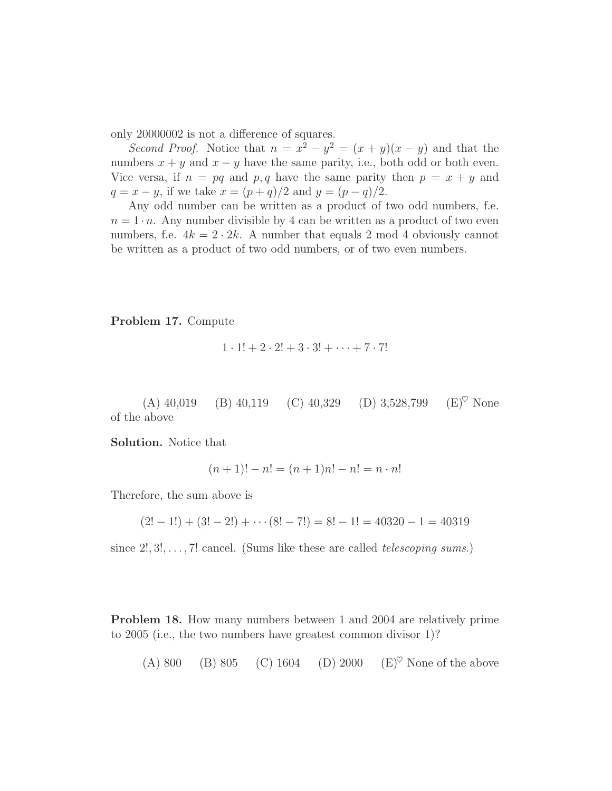only 20000002 is not a difference of squares.

*Second Proof.* Notice that  $n = x^2 - y^2 = (x + y)(x - y)$  and that the numbers  $x + y$  and  $x - y$  have the same parity, i.e., both odd or both even. Vice versa, if  $n = pq$  and  $p, q$  have the same parity then  $p = x + y$  and  $q = x - y$ , if we take  $x = (p + q)/2$  and  $y = (p - q)/2$ .

Any odd number can be written as a product of two odd numbers, f.e.  $n = 1 \cdot n$ . Any number divisible by 4 can be written as a product of two even numbers, f.e.  $4k = 2 \cdot 2k$ . A number that equals 2 mod 4 obviously cannot be written as a product of two odd numbers, or of two even numbers.

**Problem 17.** Compute

$$
1 \cdot 1! + 2 \cdot 2! + 3 \cdot 3! + \dots + 7 \cdot 7!
$$

(A) 40,019 (B) 40,119 (C) 40,329 (D) 3,528,799 (E)<sup> $\heartsuit$ </sup> None of the above

**Solution.** Notice that

$$
(n+1)! - n! = (n+1)n! - n! = n \cdot n!
$$

Therefore, the sum above is

 $(2! - 1!) + (3! - 2!) + \cdots (8! - 7!) = 8! - 1! = 40320 - 1 = 40319$ 

since 2!, 3!,..., 7! cancel. (Sums like these are called *telescoping sums*.)

**Problem 18.** How many numbers between 1 and 2004 are relatively prime to 2005 (i.e., the two numbers have greatest common divisor 1)?

(A) 800 (B) 805 (C) 1604 (D) 2000 (E)♥ None of the above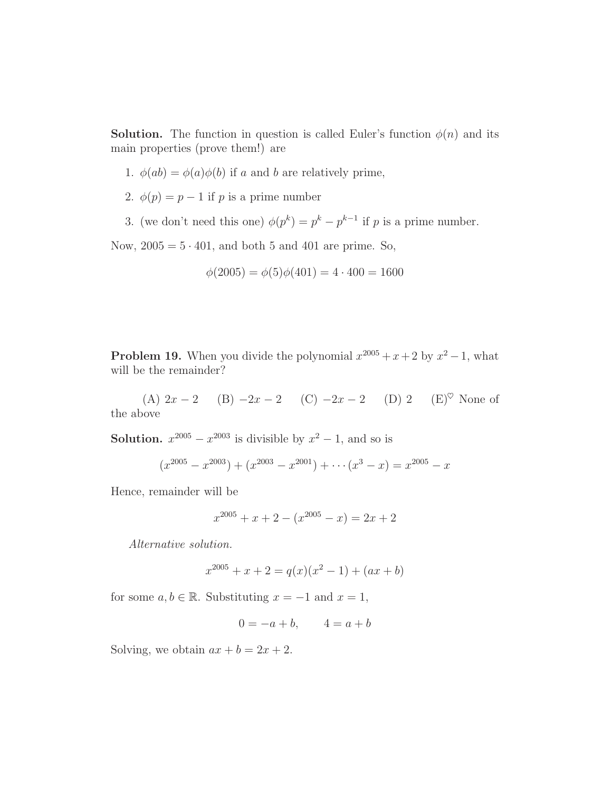**Solution.** The function in question is called Euler's function  $\phi(n)$  and its main properties (prove them!) are

- 1.  $\phi(ab) = \phi(a)\phi(b)$  if a and b are relatively prime,
- 2.  $\phi(p) = p 1$  if p is a prime number
- 3. (we don't need this one)  $\phi(p^k) = p^k p^{k-1}$  if p is a prime number.

Now,  $2005 = 5 \cdot 401$ , and both 5 and 401 are prime. So,

$$
\phi(2005) = \phi(5)\phi(401) = 4 \cdot 400 = 1600
$$

**Problem 19.** When you divide the polynomial  $x^{2005} + x + 2$  by  $x^2 - 1$ , what will be the remainder?

(A)  $2x - 2$  (B)  $-2x - 2$  (C)  $-2x - 2$  (D) 2 (E)<sup> $\heartsuit$ </sup> None of the above

**Solution.**  $x^{2005} - x^{2003}$  is divisible by  $x^2 - 1$ , and so is

$$
(x^{2005} - x^{2003}) + (x^{2003} - x^{2001}) + \cdots (x^3 - x) = x^{2005} - x
$$

Hence, remainder will be

$$
x^{2005} + x + 2 - (x^{2005} - x) = 2x + 2
$$

*Alternative solution.*

$$
x^{2005} + x + 2 = q(x)(x^2 - 1) + (ax + b)
$$

for some  $a, b \in \mathbb{R}$ . Substituting  $x = -1$  and  $x = 1$ ,

$$
0 = -a + b, \qquad 4 = a + b
$$

Solving, we obtain  $ax + b = 2x + 2$ .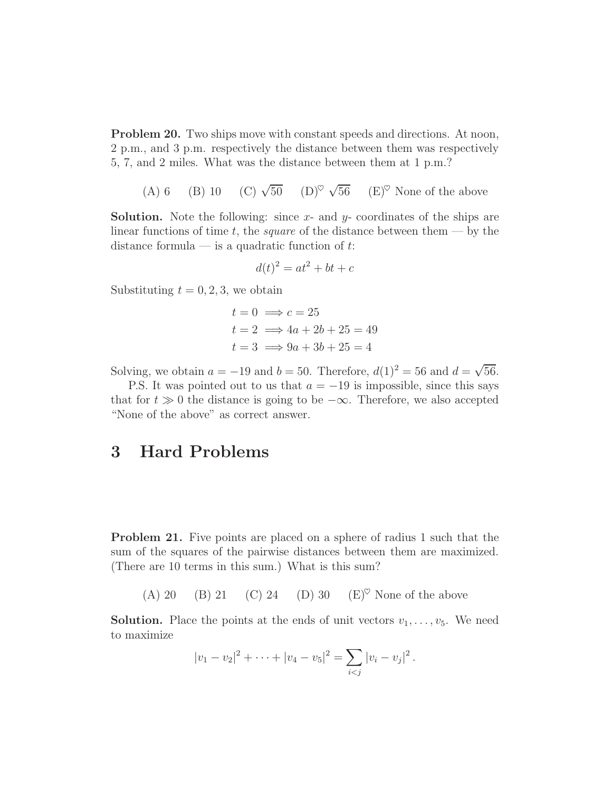**Problem 20.** Two ships move with constant speeds and directions. At noon, 2 p.m., and 3 p.m. respectively the distance between them was respectively 5, 7, and 2 miles. What was the distance between them at 1 p.m.?

(A) 6 (B) 10 (C)  $\sqrt{50}$  (D)<sup> $\heartsuit$ </sup>  $\sqrt{56}$  (E)<sup> $\heartsuit$ </sup> None of the above

**Solution.** Note the following: since  $x$ - and  $y$ - coordinates of the ships are linear functions of time t, the *square* of the distance between them — by the distance formula — is a quadratic function of  $t$ :

$$
d(t)^2 = at^2 + bt + c
$$

Substituting  $t = 0, 2, 3$ , we obtain

$$
t = 0 \implies c = 25
$$
  

$$
t = 2 \implies 4a + 2b + 25 = 49
$$
  

$$
t = 3 \implies 9a + 3b + 25 = 4
$$

Solving, we obtain  $a = -19$  and  $b = 50$ . Therefore,  $d(1)^2 = 56$  and  $d = \sqrt{56}$ .

P.S. It was pointed out to us that  $a = -19$  is impossible, since this says that for  $t \gg 0$  the distance is going to be  $-\infty$ . Therefore, we also accepted "None of the above" as correct answer.

## **3 Hard Problems**

**Problem 21.** Five points are placed on a sphere of radius 1 such that the sum of the squares of the pairwise distances between them are maximized. (There are 10 terms in this sum.) What is this sum?

(A) 20 (B) 21 (C) 24 (D) 30 (E)<sup> $\heartsuit$ </sup> None of the above

**Solution.** Place the points at the ends of unit vectors  $v_1, \ldots, v_5$ . We need to maximize

$$
|v_1 - v_2|^2 + \cdots + |v_4 - v_5|^2 = \sum_{i < j} |v_i - v_j|^2.
$$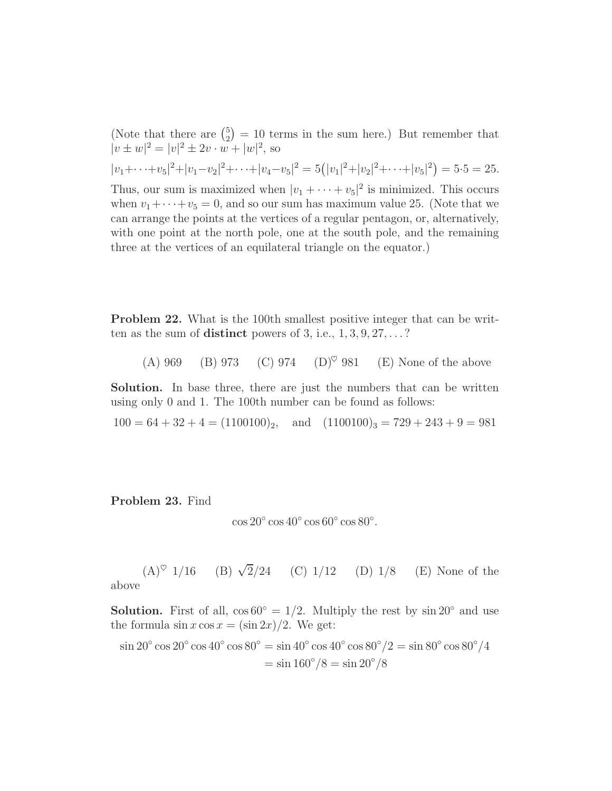(Note that there are  $\binom{5}{2} = 10$  terms in the sum here.) But remember that  $|v \pm w|^2 = |v|^2 \pm 2v \cdot w + |w|^2$ , so  $|v_1+\cdots+v_5|^2+|v_1-v_2|^2+\cdots+|v_4-v_5|^2=5(|v_1|^2+|v_2|^2+\cdots+|v_5|^2)=5\cdot 5=25.$ Thus, our sum is maximized when  $|v_1 + \cdots + v_5|^2$  is minimized. This occurs when  $v_1 + \cdots + v_5 = 0$ , and so our sum has maximum value 25. (Note that we can arrange the points at the vertices of a regular pentagon, or, alternatively, with one point at the north pole, one at the south pole, and the remaining three at the vertices of an equilateral triangle on the equator.)

**Problem 22.** What is the 100th smallest positive integer that can be written as the sum of **distinct** powers of 3, i.e.,  $1, 3, 9, 27, \ldots$ ?

(A) 969 (B) 973 (C) 974 (D)<sup> $\heartsuit$ </sup> 981 (E) None of the above

**Solution.** In base three, there are just the numbers that can be written using only 0 and 1. The 100th number can be found as follows:

 $100 = 64 + 32 + 4 = (1100100)_2$ , and  $(1100100)_3 = 729 + 243 + 9 = 981$ 

**Problem 23.** Find

 $\cos 20^\circ \cos 40^\circ \cos 60^\circ \cos 80^\circ$ .

 $(A)^\heartsuit$  1/16 (B)  $\sqrt{2}/24$  (C) 1/12 (D) 1/8 (E) None of the above

**Solution.** First of all,  $\cos 60° = 1/2$ . Multiply the rest by  $\sin 20°$  and use the formula  $\sin x \cos x = (\sin 2x)/2$ . We get:

$$
\sin 20^\circ \cos 20^\circ \cos 40^\circ \cos 80^\circ = \sin 40^\circ \cos 40^\circ \cos 80^\circ / 2 = \sin 80^\circ \cos 80^\circ / 4
$$

$$
= \sin 160^\circ / 8 = \sin 20^\circ / 8
$$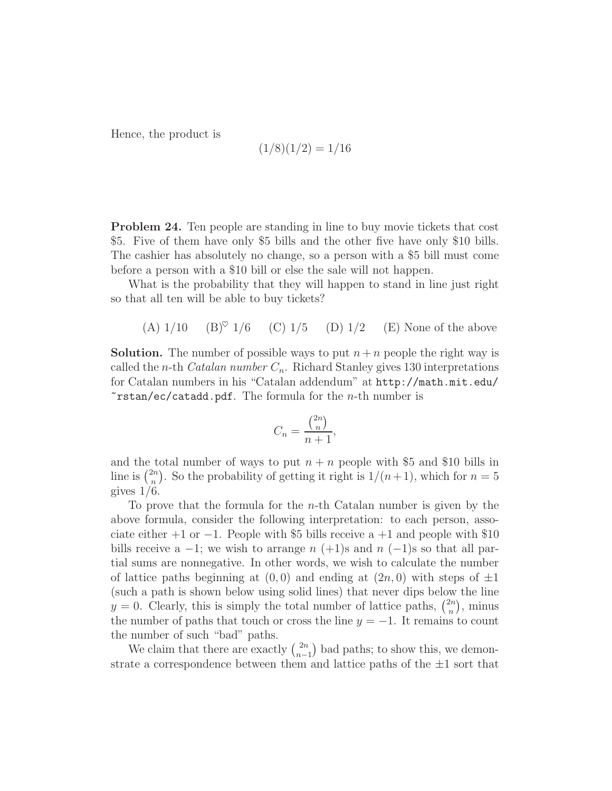Hence, the product is

$$
(1/8)(1/2) = 1/16
$$

**Problem 24.** Ten people are standing in line to buy movie tickets that cost \$5. Five of them have only \$5 bills and the other five have only \$10 bills. The cashier has absolutely no change, so a person with a \$5 bill must come before a person with a \$10 bill or else the sale will not happen.

What is the probability that they will happen to stand in line just right so that all ten will be able to buy tickets?

(A) 
$$
1/10
$$
 (B)<sup>°</sup>  $1/6$  (C)  $1/5$  (D)  $1/2$  (E) None of the above

**Solution.** The number of possible ways to put  $n + n$  people the right way is called the *n*-th *Catalan number*  $C_n$ . Richard Stanley gives 130 interpretations for Catalan numbers in his "Catalan addendum" at http://math.mit.edu/  $r$ rstan/ec/catadd.pdf. The formula for the *n*-th number is

$$
C_n = \frac{\binom{2n}{n}}{n+1},
$$

and the total number of ways to put  $n + n$  people with \$5 and \$10 bills in line is  $\binom{2n}{n}$ . So the probability of getting it right is  $1/(n+1)$ , which for  $n=5$ gives  $1/6$ .

To prove that the formula for the *n*-th Catalan number is given by the above formula, consider the following interpretation: to each person, associate either  $+1$  or  $-1$ . People with \$5 bills receive a  $+1$  and people with \$10 bills receive a  $-1$ ; we wish to arrange  $n + 1$  and  $n - 1$  so that all partial sums are nonnegative. In other words, we wish to calculate the number of lattice paths beginning at  $(0, 0)$  and ending at  $(2n, 0)$  with steps of  $\pm 1$ (such a path is shown below using solid lines) that never dips below the line  $y = 0$ . Clearly, this is simply the total number of lattice paths,  $\binom{2n}{n}$ , minus the number of paths that touch or cross the line  $y = -1$ . It remains to count the number of such "bad" paths.

We claim that there are exactly  $\binom{2n}{n-1}$  bad paths; to show this, we demonstrate a correspondence between them and lattice paths of the  $\pm 1$  sort that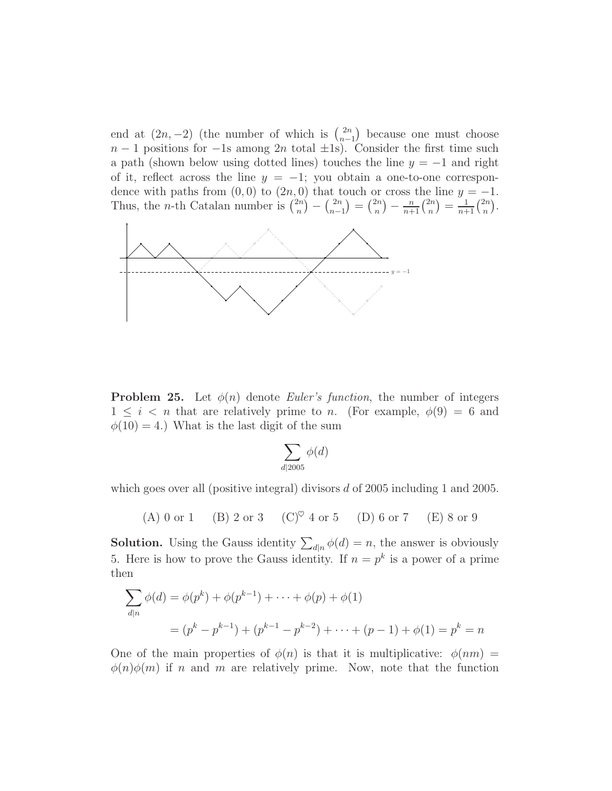end at  $(2n, -2)$  (the number of which is  $\binom{2n}{n-1}$  because one must choose  $n-1$  positions for  $-1$ s among 2n total  $\pm 1$ s). Consider the first time such a path (shown below using dotted lines) touches the line  $y = -1$  and right of it, reflect across the line  $y = -1$ ; you obtain a one-to-one correspondence with paths from  $(0, 0)$  to  $(2n, 0)$  that touch or cross the line  $y = -1$ . Thus, the *n*-th Catalan number is  $\binom{2n}{n} - \binom{2n}{n-1} = \binom{2n}{n} - \frac{n}{n+1} \binom{2n}{n} = \frac{1}{n+1} \binom{2n}{n}$ .



**Problem 25.** Let  $\phi(n)$  denote *Euler's function*, the number of integers  $1 \leq i \leq n$  that are relatively prime to n. (For example,  $\phi(9) = 6$  and  $\phi(10) = 4.$ ) What is the last digit of the sum

$$
\sum_{d|2005} \phi(d)
$$

which goes over all (positive integral) divisors d of 2005 including 1 and 2005.

(A) 0 or 1 (B) 2 or 3 (C)<sup> $\heartsuit$ </sup> 4 or 5 (D) 6 or 7 (E) 8 or 9

**Solution.** Using the Gauss identity  $\sum_{d|n} \phi(d) = n$ , the answer is obviously 5. Here is how to prove the Gauss identity. If  $n = p^k$  is a power of a prime then

$$
\sum_{d|n} \phi(d) = \phi(p^k) + \phi(p^{k-1}) + \dots + \phi(p) + \phi(1)
$$
  
=  $(p^k - p^{k-1}) + (p^{k-1} - p^{k-2}) + \dots + (p-1) + \phi(1) = p^k = n$ 

One of the main properties of  $\phi(n)$  is that it is multiplicative:  $\phi(nm)$  =  $\phi(n)\phi(m)$  if n and m are relatively prime. Now, note that the function